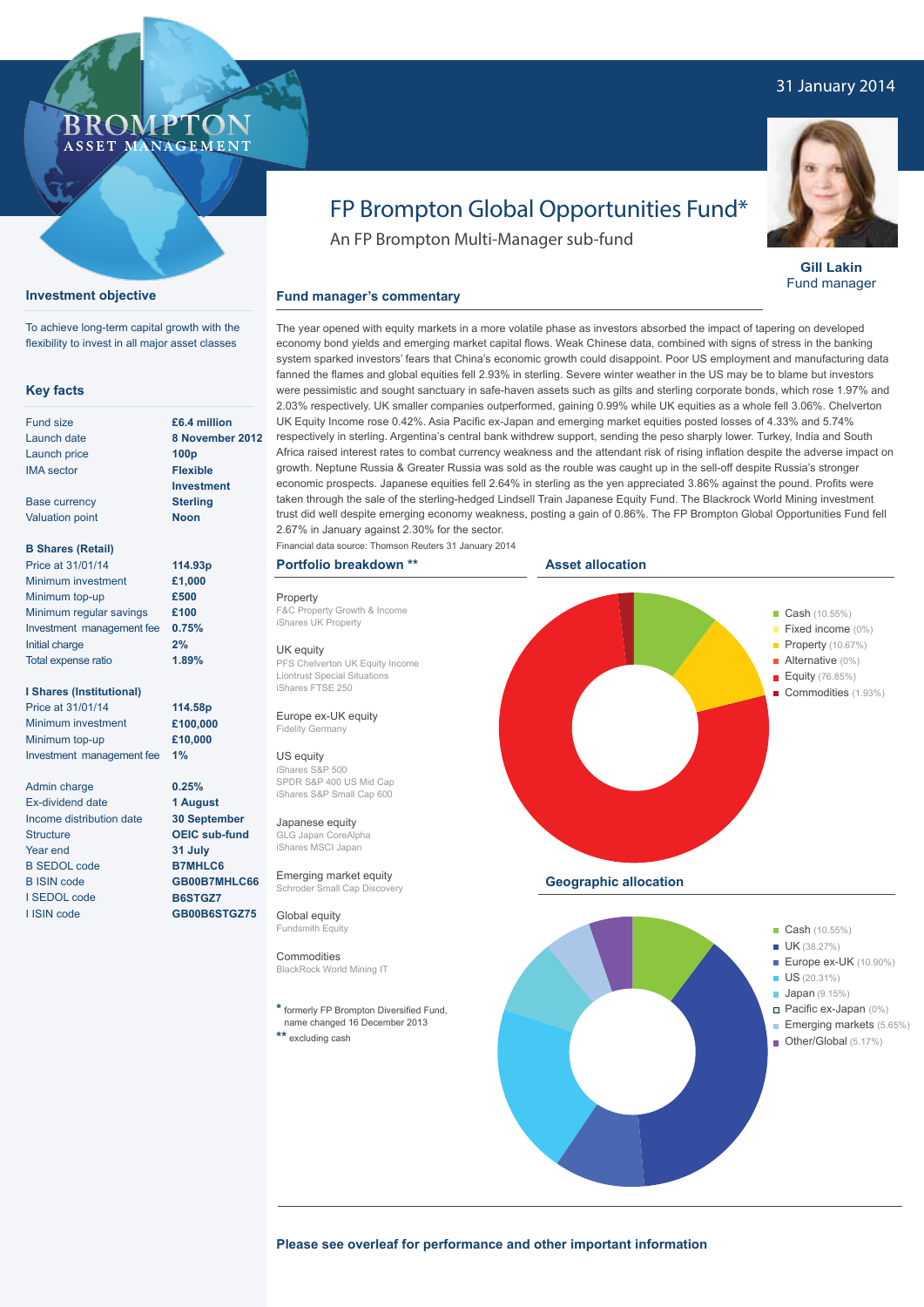# 31 January 2014



**Gill Lakin** Fund manager

# FP Brompton Global Opportunities Fund\*

An FP Brompton Multi-Manager sub-fund

# **Fund manager's commentary**

The year opened with equity markets in a more volatile phase as investors absorbed the impact of tapering on developed economy bond yields and emerging market capital flows. Weak Chinese data, combined with signs of stress in the banking system sparked investors' fears that China's economic growth could disappoint. Poor US employment and manufacturing data fanned the flames and global equities fell 2.93% in sterling. Severe winter weather in the US may be to blame but investors were pessimistic and sought sanctuary in safe-haven assets such as gilts and sterling corporate bonds, which rose 1.97% and 2.03% respectively. UK smaller companies outperformed, gaining 0.99% while UK equities as a whole fell 3.06%. Chelverton UK Equity Income rose 0.42%. Asia Pacific ex-Japan and emerging market equities posted losses of 4.33% and 5.74% respectively in sterling. Argentina's central bank withdrew support, sending the peso sharply lower. Turkey, India and South Africa raised interest rates to combat currency weakness and the attendant risk of rising inflation despite the adverse impact on growth. Neptune Russia & Greater Russia was sold as the rouble was caught up in the sell-off despite Russia's stronger economic prospects. Japanese equities fell 2.64% in sterling as the yen appreciated 3.86% against the pound. Profits were taken through the sale of the sterling-hedged Lindsell Train Japanese Equity Fund. The Blackrock World Mining investment trust did well despite emerging economy weakness, posting a gain of 0.86%. The FP Brompton Global Opportunities Fund fell 2.67% in January against 2.30% for the sector.

# Financial data source: Thomson Reuters 31 January 2014

# **Portfolio breakdown \*\***

Property F&C Property Growth & Income iShares UK Property

### UK equity

PFS Chelverton UK Equity Income Liontrust Special Situations iShares FTSE 250

## Europe ex-UK equity Fidelity Germany

US equity iShares S&P 500 SPDR S&P 400 US Mid Cap iShares S&P Small Cap 600

Japanese equity GLG Japan CoreAlpha iShares MSCI Japan

Emerging market equity Schroder Small Cap Dis

Global equity Fundsmith Equity

## Commodities BlackRock World Mining IT

**\*** formerly FP Brompton Diversified Fund, name changed 16 December 2013 **\*\*** excluding cash



Other/Global (5.17%)

**Please see overleaf for performance and other important information**

**100p Flexible** 

Base currency Valuation point

**Key facts** Fund size Launch date Launch price IMA sector

# **B Shares (Retail)**

| Price at 31/01/14         | 114.93p |
|---------------------------|---------|
| Minimum investment        | £1,000  |
| Minimum top-up            | £500    |
| Minimum regular savings   | £100    |
| Investment management fee | 0.75%   |
| Initial charge            | 2%      |
| Total expense ratio       | 1.89%   |

**I Shares (Institutional)**

Price at 31/01/14 Minimum investment Minimum top-up Investment management fee **114.58p £100,000 £10,000 1%**

Admin charge Ex-dividend date Income distribution date **Structure** Year end B SEDOL code B ISIN code I SEDOL code I ISIN code

**Investment Sterling Noon**

> **0.25% 1 August 30 September OEIC sub-fund 31 July B7MHLC6 GB00B7MHLC66 B6STGZ7 GB00B6STGZ75**

BROMP

ASSET MANAGEMENT

**Investment objective**



# **8 November 2012**